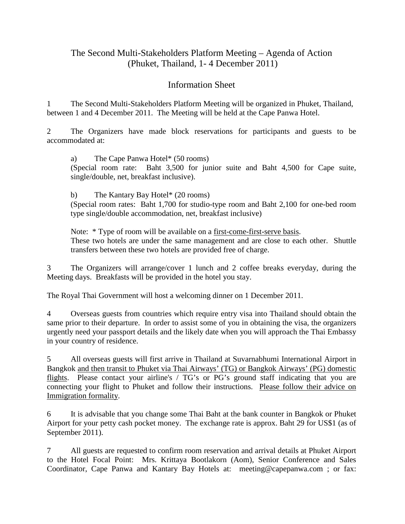## The Second Multi-Stakeholders Platform Meeting – Agenda of Action (Phuket, Thailand, 1- 4 December 2011)

## Information Sheet

1 The Second Multi-Stakeholders Platform Meeting will be organized in Phuket, Thailand, between 1 and 4 December 2011. The Meeting will be held at the Cape Panwa Hotel.

2 The Organizers have made block reservations for participants and guests to be accommodated at:

a) The Cape Panwa Hotel\* (50 rooms) (Special room rate: Baht 3,500 for junior suite and Baht 4,500 for Cape suite, single/double, net, breakfast inclusive).

b) The Kantary Bay Hotel\* (20 rooms) (Special room rates: Baht 1,700 for studio-type room and Baht 2,100 for one-bed room

type single/double accommodation, net, breakfast inclusive)

Note: \* Type of room will be available on a first-come-first-serve basis. These two hotels are under the same management and are close to each other. Shuttle

transfers between these two hotels are provided free of charge.

3 The Organizers will arrange/cover 1 lunch and 2 coffee breaks everyday, during the Meeting days. Breakfasts will be provided in the hotel you stay.

The Royal Thai Government will host a welcoming dinner on 1 December 2011.

4 Overseas guests from countries which require entry visa into Thailand should obtain the same prior to their departure. In order to assist some of you in obtaining the visa, the organizers urgently need your passport details and the likely date when you will approach the Thai Embassy in your country of residence.

5 All overseas guests will first arrive in Thailand at Suvarnabhumi International Airport in Bangkok and then transit to Phuket via Thai Airways' (TG) or Bangkok Airways' (PG) domestic flights. Please contact your airline's / TG's or PG's ground staff indicating that you are connecting your flight to Phuket and follow their instructions. Please follow their advice on Immigration formality.

6 It is advisable that you change some Thai Baht at the bank counter in Bangkok or Phuket Airport for your petty cash pocket money. The exchange rate is approx. Baht 29 for US\$1 (as of September 2011).

7 All guests are requested to confirm room reservation and arrival details at Phuket Airport to the Hotel Focal Point: Mrs. Krittaya Bootlakorn (Aom), Senior Conference and Sales Coordinator, Cape Panwa and Kantary Bay Hotels at: [meeting@capepanwa.com](mailto:meeting@capepanwa.com) ; or fax: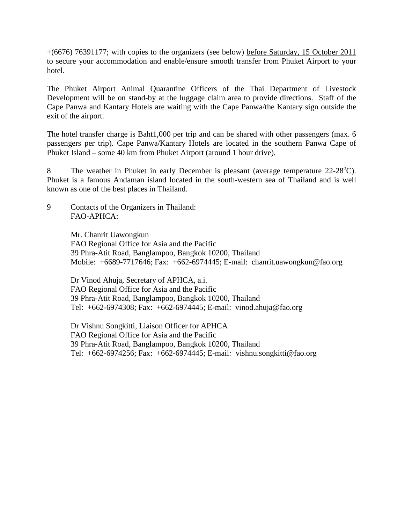+(6676) 76391177; with copies to the organizers (see below) before Saturday, 15 October 2011 to secure your accommodation and enable/ensure smooth transfer from Phuket Airport to your hotel.

The Phuket Airport Animal Quarantine Officers of the Thai Department of Livestock Development will be on stand-by at the luggage claim area to provide directions. Staff of the Cape Panwa and Kantary Hotels are waiting with the Cape Panwa/the Kantary sign outside the exit of the airport.

The hotel transfer charge is Baht1,000 per trip and can be shared with other passengers (max. 6 passengers per trip). Cape Panwa/Kantary Hotels are located in the southern Panwa Cape of Phuket Island – some 40 km from Phuket Airport (around 1 hour drive).

8 The weather in Phuket in early December is pleasant (average temperature 22-28<sup>°</sup>C). Phuket is a famous Andaman island located in the south-western sea of Thailand and is well known as one of the best places in Thailand.

9 Contacts of the Organizers in Thailand: FAO-APHCA:

> Mr. Chanrit Uawongkun FAO Regional Office for Asia and the Pacific 39 Phra-Atit Road, Banglampoo, Bangkok 10200, Thailand Mobile: +6689-7717646; Fax: +662-6974445; E-mail: chanrit.uawongkun@fao.org

Dr Vinod Ahuja, Secretary of APHCA, a.i. FAO Regional Office for Asia and the Pacific 39 Phra-Atit Road, Banglampoo, Bangkok 10200, Thailand Tel: +662-6974308; Fax: +662-6974445; E-mail: [vinod.ahuja@fao.org](mailto:vinod.ahuja@fao.org)

Dr Vishnu Songkitti, Liaison Officer for APHCA FAO Regional Office for Asia and the Pacific 39 Phra-Atit Road, Banglampoo, Bangkok 10200, Thailand Tel: +662-6974256; Fax: +662-6974445; E-mail*:* vishnu.songkitti@fao.org